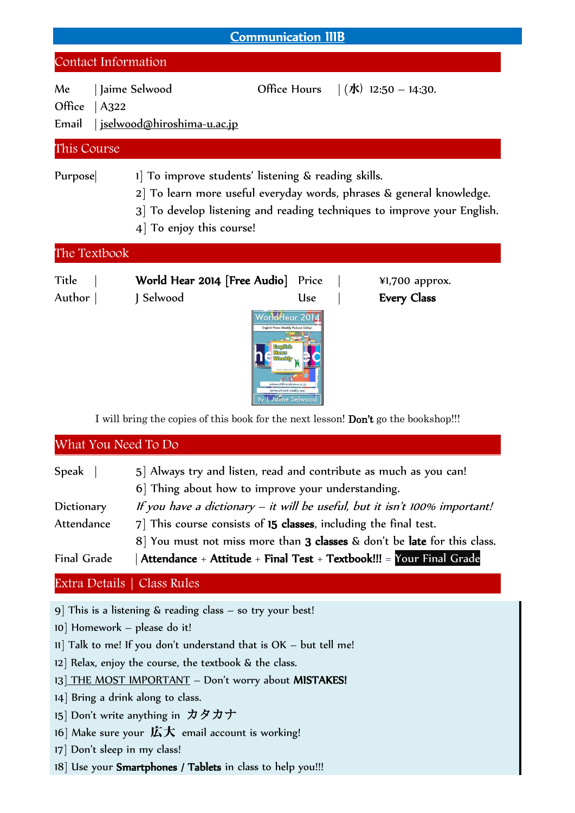| <b>Communication IIIB</b>      |                                                                                                                                                                                                                                |                                                                              |                                      |  |  |
|--------------------------------|--------------------------------------------------------------------------------------------------------------------------------------------------------------------------------------------------------------------------------|------------------------------------------------------------------------------|--------------------------------------|--|--|
| Contact Information            |                                                                                                                                                                                                                                |                                                                              |                                      |  |  |
| Me<br>Office<br> A322<br>Email | Jaime Selwood<br><u>  iselwood@hiroshima-u.ac.jp</u>                                                                                                                                                                           |                                                                              | Office Hours $ (1)$ 12:50 – 14:30.   |  |  |
| This Course                    |                                                                                                                                                                                                                                |                                                                              |                                      |  |  |
| Purpose                        | 1 To improve students' listening & reading skills.<br>2 To learn more useful everyday words, phrases & general knowledge.<br>3 To develop listening and reading techniques to improve your English.<br>4 To enjoy this course! |                                                                              |                                      |  |  |
| The Textbook                   |                                                                                                                                                                                                                                |                                                                              |                                      |  |  |
| Title<br>Author                | World Hear 2014 [Free Audio]<br>J Selwood                                                                                                                                                                                      | Price<br><b>Use</b><br>WorldHear 2014<br>English News Weekly Podcast Edition | ¥1,700 approx.<br><b>Every Class</b> |  |  |

I will bring the copies of this book for the next lesson! Don't go the bookshop!!!

What You Need To Do

| Speak              | 5] Always try and listen, read and contribute as much as you can!            |  |  |
|--------------------|------------------------------------------------------------------------------|--|--|
|                    | 6 Thing about how to improve your understanding.                             |  |  |
| Dictionary         | If you have a dictionary $-$ it will be useful, but it isn't 100% important! |  |  |
| Attendance         | 7] This course consists of 15 classes, including the final test.             |  |  |
|                    | 8 You must not miss more than 3 classes & don't be late for this class.      |  |  |
| <b>Final Grade</b> | Attendance + Attitude + Final Test + Textbook!!! = Your Final Grade          |  |  |

## Extra Details | Class Rules

9] This is a listening & reading class – so try your best!

- 10] Homework please do it!
- 11] Talk to me! If you don't understand that is OK but tell me!
- 12] Relax, enjoy the course, the textbook & the class.
- 13] THE MOST IMPORTANT Don't worry about MISTAKES!
- 14] Bring a drink along to class.
- 15] Don't write anything in カタカナ
- 16] Make sure your 広大 email account is working!
- 17] Don't sleep in my class!
- 18] Use your Smartphones / Tablets in class to help you!!!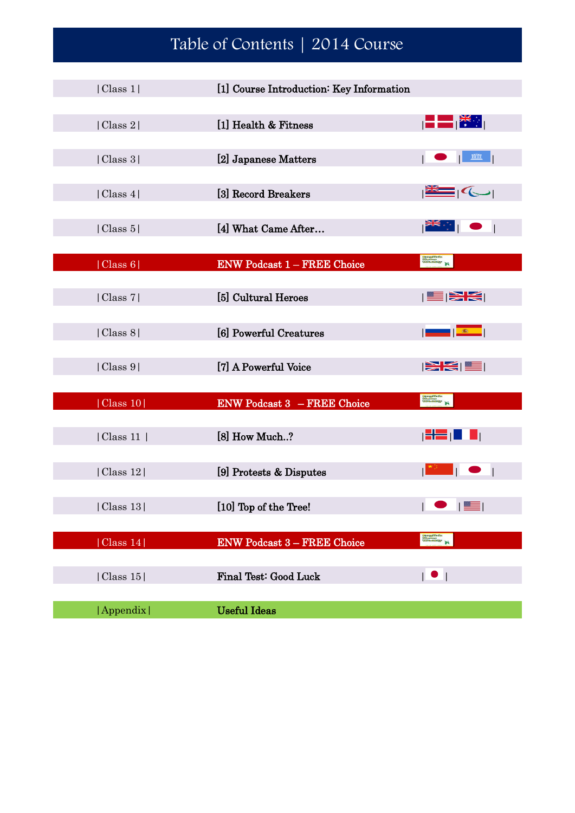## Table of Contents | 2014 Course

| Class 1  | [1] Course Introduction: Key Information |                                                    |
|----------|------------------------------------------|----------------------------------------------------|
|          |                                          |                                                    |
| Class 2  | [1] Health & Fitness                     | $\ \blacksquare\blacksquare\ ^{\gamma\cdot\gamma}$ |
|          |                                          |                                                    |
| Class 3  | [2] Japanese Matters                     | mm                                                 |
|          |                                          |                                                    |
| Class 4  | [3] Record Breakers                      | ∃∣′⇔⊦                                              |
|          |                                          |                                                    |
| Class 5  | [4] What Came After                      | ▌ <sup>▓▆</sup> ░▔▏                                |
|          |                                          |                                                    |
| Class 6  | <b>ENW Podcast 1 - FREE Choice</b>       | <b>Designals</b>                                   |
| Class 7  |                                          |                                                    |
|          | [5] Cultural Heroes                      | $\geq$ $\leq$ $\mid$                               |
| Class 8  | [6] Powerful Creatures                   | $1 - 663$                                          |
|          |                                          |                                                    |
| Class 9  | [7] A Powerful Voice                     | $ \mathcal{\widetilde{H}}(x)  \leq 1$              |
|          |                                          |                                                    |
| Class 10 | <b>ENW Podcast 3 – FREE Choice</b>       | <b>Engineer</b>                                    |
|          |                                          |                                                    |
| Class 11 | [8] How Much?                            |                                                    |
|          |                                          |                                                    |
| Class 12 | [9] Protests & Disputes                  | $\Box$<br>$\overline{1}$                           |
|          |                                          |                                                    |
| Class 13 | [10] Top of the Tree!                    |                                                    |
|          |                                          | <b>Bangfilefin</b><br>Gönnemi<br>Völksfallskap     |
| Class 14 | <b>ENW Podcast 3 - FREE Choice</b>       |                                                    |
| Class 15 | Final Test: Good Luck                    | $\overline{\phantom{a}}$                           |
|          |                                          |                                                    |
| Appendix | <b>Useful Ideas</b>                      |                                                    |